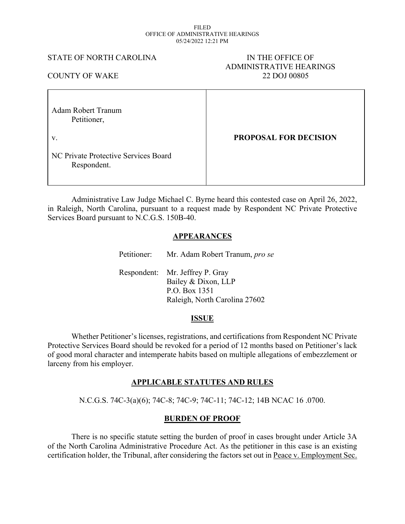#### FILED OFFICE OF ADMINISTRATIVE HEARINGS 05/24/2022 12:21 PM

#### STATE OF NORTH CAROLINA IN THE OFFICE OF

# ADMINISTRATIVE HEARINGS COUNTY OF WAKE 22 DOJ 00805

| <b>Adam Robert Tranum</b><br>Petitioner,            |                              |
|-----------------------------------------------------|------------------------------|
| $V_{\cdot}$                                         | <b>PROPOSAL FOR DECISION</b> |
| NC Private Protective Services Board<br>Respondent. |                              |

Administrative Law Judge Michael C. Byrne heard this contested case on April 26, 2022, in Raleigh, North Carolina, pursuant to a request made by Respondent NC Private Protective Services Board pursuant to N.C.G.S. 150B-40.

## **APPEARANCES**

| Petitioner: | Mr. Adam Robert Tranum, pro se                                                                           |
|-------------|----------------------------------------------------------------------------------------------------------|
|             | Respondent: Mr. Jeffrey P. Gray<br>Bailey & Dixon, LLP<br>P.O. Box 1351<br>Raleigh, North Carolina 27602 |

## **ISSUE**

Whether Petitioner's licenses, registrations, and certifications from Respondent NC Private Protective Services Board should be revoked for a period of 12 months based on Petitioner's lack of good moral character and intemperate habits based on multiple allegations of embezzlement or larceny from his employer.

## **APPLICABLE STATUTES AND RULES**

N.C.G.S. 74C-3(a)(6); 74C-8; 74C-9; 74C-11; 74C-12; 14B NCAC 16 .0700.

## **BURDEN OF PROOF**

There is no specific statute setting the burden of proof in cases brought under Article 3A of the North Carolina Administrative Procedure Act. As the petitioner in this case is an existing certification holder, the Tribunal, after considering the factors set out in Peace v. Employment Sec.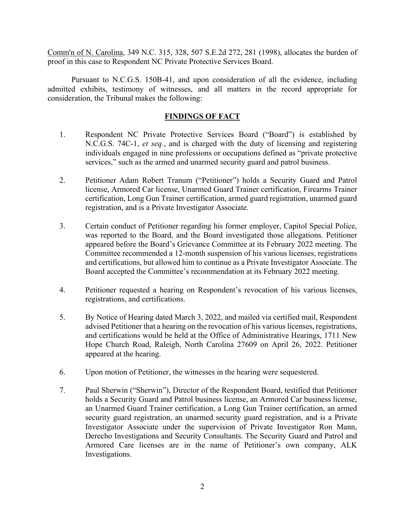Comm'n of N. Carolina, 349 N.C. 315, 328, 507 S.E.2d 272, 281 (1998), allocates the burden of proof in this case to Respondent NC Private Protective Services Board.

Pursuant to N.C.G.S. 150B-41, and upon consideration of all the evidence, including admitted exhibits, testimony of witnesses, and all matters in the record appropriate for consideration, the Tribunal makes the following:

### **FINDINGS OF FACT**

- 1. Respondent NC Private Protective Services Board ("Board") is established by N.C.G.S. 74C-1, *et seq.*, and is charged with the duty of licensing and registering individuals engaged in nine professions or occupations defined as "private protective services," such as the armed and unarmed security guard and patrol business.
- 2. Petitioner Adam Robert Tranum ("Petitioner") holds a Security Guard and Patrol license, Armored Car license, Unarmed Guard Trainer certification, Firearms Trainer certification, Long Gun Trainer certification, armed guard registration, unarmed guard registration, and is a Private Investigator Associate.
- 3. Certain conduct of Petitioner regarding his former employer, Capitol Special Police, was reported to the Board, and the Board investigated those allegations. Petitioner appeared before the Board's Grievance Committee at its February 2022 meeting. The Committee recommended a 12-month suspension of his various licenses, registrations and certifications, but allowed him to continue as a Private Investigator Associate. The Board accepted the Committee's recommendation at its February 2022 meeting.
- 4. Petitioner requested a hearing on Respondent's revocation of his various licenses, registrations, and certifications.
- 5. By Notice of Hearing dated March 3, 2022, and mailed via certified mail, Respondent advised Petitioner that a hearing on the revocation of his various licenses, registrations, and certifications would be held at the Office of Administrative Hearings, 1711 New Hope Church Road, Raleigh, North Carolina 27609 on April 26, 2022. Petitioner appeared at the hearing.
- 6. Upon motion of Petitioner, the witnesses in the hearing were sequestered.
- 7. Paul Sherwin ("Sherwin"), Director of the Respondent Board, testified that Petitioner holds a Security Guard and Patrol business license, an Armored Car business license, an Unarmed Guard Trainer certification, a Long Gun Trainer certification, an armed security guard registration, an unarmed security guard registration, and is a Private Investigator Associate under the supervision of Private Investigator Ron Mann, Derecho Investigations and Security Consultants. The Security Guard and Patrol and Armored Care licenses are in the name of Petitioner's own company, ALK Investigations.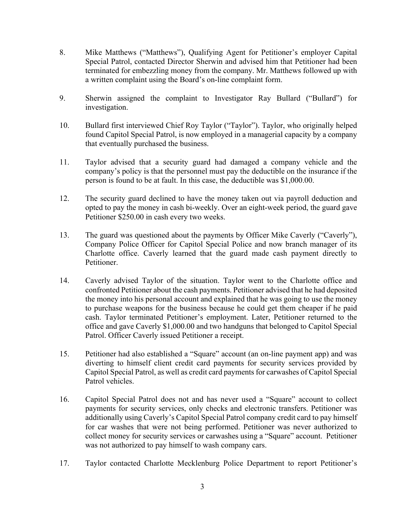- 8. Mike Matthews ("Matthews"), Qualifying Agent for Petitioner's employer Capital Special Patrol, contacted Director Sherwin and advised him that Petitioner had been terminated for embezzling money from the company. Mr. Matthews followed up with a written complaint using the Board's on-line complaint form.
- 9. Sherwin assigned the complaint to Investigator Ray Bullard ("Bullard") for investigation.
- 10. Bullard first interviewed Chief Roy Taylor ("Taylor"). Taylor, who originally helped found Capitol Special Patrol, is now employed in a managerial capacity by a company that eventually purchased the business.
- 11. Taylor advised that a security guard had damaged a company vehicle and the company's policy is that the personnel must pay the deductible on the insurance if the person is found to be at fault. In this case, the deductible was \$1,000.00.
- 12. The security guard declined to have the money taken out via payroll deduction and opted to pay the money in cash bi-weekly. Over an eight-week period, the guard gave Petitioner \$250.00 in cash every two weeks.
- 13. The guard was questioned about the payments by Officer Mike Caverly ("Caverly"), Company Police Officer for Capitol Special Police and now branch manager of its Charlotte office. Caverly learned that the guard made cash payment directly to Petitioner.
- 14. Caverly advised Taylor of the situation. Taylor went to the Charlotte office and confronted Petitioner about the cash payments. Petitioner advised that he had deposited the money into his personal account and explained that he was going to use the money to purchase weapons for the business because he could get them cheaper if he paid cash. Taylor terminated Petitioner's employment. Later, Petitioner returned to the office and gave Caverly \$1,000.00 and two handguns that belonged to Capitol Special Patrol. Officer Caverly issued Petitioner a receipt.
- 15. Petitioner had also established a "Square" account (an on-line payment app) and was diverting to himself client credit card payments for security services provided by Capitol Special Patrol, as well as credit card payments for carwashes of Capitol Special Patrol vehicles.
- 16. Capitol Special Patrol does not and has never used a "Square" account to collect payments for security services, only checks and electronic transfers. Petitioner was additionally using Caverly's Capitol Special Patrol company credit card to pay himself for car washes that were not being performed. Petitioner was never authorized to collect money for security services or carwashes using a "Square" account. Petitioner was not authorized to pay himself to wash company cars.
- 17. Taylor contacted Charlotte Mecklenburg Police Department to report Petitioner's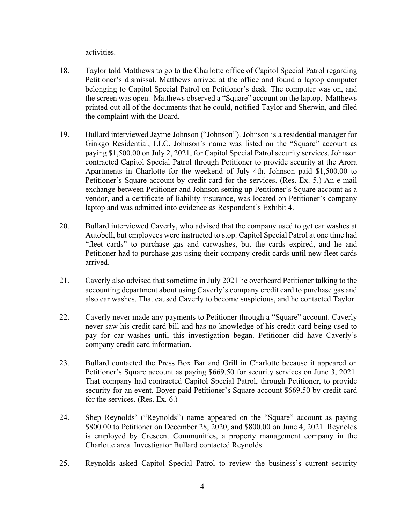activities.

- 18. Taylor told Matthews to go to the Charlotte office of Capitol Special Patrol regarding Petitioner's dismissal. Matthews arrived at the office and found a laptop computer belonging to Capitol Special Patrol on Petitioner's desk. The computer was on, and the screen was open. Matthews observed a "Square" account on the laptop. Matthews printed out all of the documents that he could, notified Taylor and Sherwin, and filed the complaint with the Board.
- 19. Bullard interviewed Jayme Johnson ("Johnson"). Johnson is a residential manager for Ginkgo Residential, LLC. Johnson's name was listed on the "Square" account as paying \$1,500.00 on July 2, 2021, for Capitol Special Patrol security services. Johnson contracted Capitol Special Patrol through Petitioner to provide security at the Arora Apartments in Charlotte for the weekend of July 4th. Johnson paid \$1,500.00 to Petitioner's Square account by credit card for the services. (Res. Ex. 5.) An e-mail exchange between Petitioner and Johnson setting up Petitioner's Square account as a vendor, and a certificate of liability insurance, was located on Petitioner's company laptop and was admitted into evidence as Respondent's Exhibit 4.
- 20. Bullard interviewed Caverly, who advised that the company used to get car washes at Autobell, but employees were instructed to stop. Capitol Special Patrol at one time had "fleet cards" to purchase gas and carwashes, but the cards expired, and he and Petitioner had to purchase gas using their company credit cards until new fleet cards arrived.
- 21. Caverly also advised that sometime in July 2021 he overheard Petitioner talking to the accounting department about using Caverly's company credit card to purchase gas and also car washes. That caused Caverly to become suspicious, and he contacted Taylor.
- 22. Caverly never made any payments to Petitioner through a "Square" account. Caverly never saw his credit card bill and has no knowledge of his credit card being used to pay for car washes until this investigation began. Petitioner did have Caverly's company credit card information.
- 23. Bullard contacted the Press Box Bar and Grill in Charlotte because it appeared on Petitioner's Square account as paying \$669.50 for security services on June 3, 2021. That company had contracted Capitol Special Patrol, through Petitioner, to provide security for an event. Boyer paid Petitioner's Square account \$669.50 by credit card for the services. (Res. Ex*.* 6.)
- 24. Shep Reynolds' ("Reynolds") name appeared on the "Square" account as paying \$800.00 to Petitioner on December 28, 2020, and \$800.00 on June 4, 2021. Reynolds is employed by Crescent Communities, a property management company in the Charlotte area. Investigator Bullard contacted Reynolds.
- 25. Reynolds asked Capitol Special Patrol to review the business's current security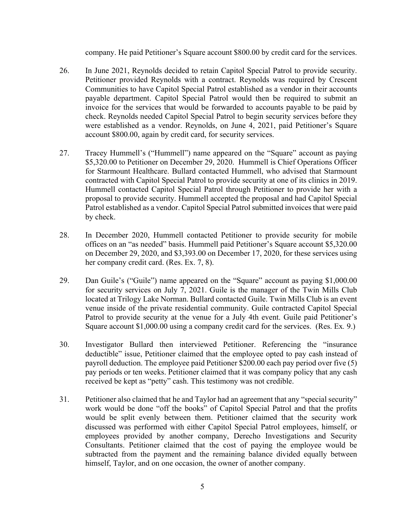company. He paid Petitioner's Square account \$800.00 by credit card for the services.

- 26. In June 2021, Reynolds decided to retain Capitol Special Patrol to provide security. Petitioner provided Reynolds with a contract. Reynolds was required by Crescent Communities to have Capitol Special Patrol established as a vendor in their accounts payable department. Capitol Special Patrol would then be required to submit an invoice for the services that would be forwarded to accounts payable to be paid by check. Reynolds needed Capitol Special Patrol to begin security services before they were established as a vendor. Reynolds, on June 4, 2021, paid Petitioner's Square account \$800.00, again by credit card, for security services.
- 27. Tracey Hummell's ("Hummell") name appeared on the "Square" account as paying \$5,320.00 to Petitioner on December 29, 2020. Hummell is Chief Operations Officer for Starmount Healthcare. Bullard contacted Hummell, who advised that Starmount contracted with Capitol Special Patrol to provide security at one of its clinics in 2019. Hummell contacted Capitol Special Patrol through Petitioner to provide her with a proposal to provide security. Hummell accepted the proposal and had Capitol Special Patrol established as a vendor. Capitol Special Patrol submitted invoices that were paid by check.
- 28. In December 2020, Hummell contacted Petitioner to provide security for mobile offices on an "as needed" basis. Hummell paid Petitioner's Square account \$5,320.00 on December 29, 2020, and \$3,393.00 on December 17, 2020, for these services using her company credit card. (Res. Ex. 7, 8).
- 29. Dan Guile's ("Guile") name appeared on the "Square" account as paying \$1,000.00 for security services on July 7, 2021. Guile is the manager of the Twin Mills Club located at Trilogy Lake Norman. Bullard contacted Guile. Twin Mills Club is an event venue inside of the private residential community. Guile contracted Capitol Special Patrol to provide security at the venue for a July 4th event. Guile paid Petitioner's Square account \$1,000.00 using a company credit card for the services. (Res. Ex*.* 9.)
- 30. Investigator Bullard then interviewed Petitioner. Referencing the "insurance deductible" issue, Petitioner claimed that the employee opted to pay cash instead of payroll deduction. The employee paid Petitioner \$200.00 each pay period over five (5) pay periods or ten weeks. Petitioner claimed that it was company policy that any cash received be kept as "petty" cash. This testimony was not credible.
- 31. Petitioner also claimed that he and Taylor had an agreement that any "special security" work would be done "off the books" of Capitol Special Patrol and that the profits would be split evenly between them. Petitioner claimed that the security work discussed was performed with either Capitol Special Patrol employees, himself, or employees provided by another company, Derecho Investigations and Security Consultants. Petitioner claimed that the cost of paying the employee would be subtracted from the payment and the remaining balance divided equally between himself, Taylor, and on one occasion, the owner of another company.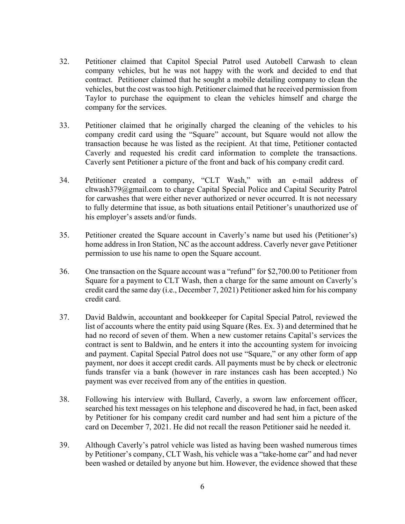- 32. Petitioner claimed that Capitol Special Patrol used Autobell Carwash to clean company vehicles, but he was not happy with the work and decided to end that contract. Petitioner claimed that he sought a mobile detailing company to clean the vehicles, but the cost was too high. Petitioner claimed that he received permission from Taylor to purchase the equipment to clean the vehicles himself and charge the company for the services.
- 33. Petitioner claimed that he originally charged the cleaning of the vehicles to his company credit card using the "Square" account, but Square would not allow the transaction because he was listed as the recipient. At that time, Petitioner contacted Caverly and requested his credit card information to complete the transactions. Caverly sent Petitioner a picture of the front and back of his company credit card.
- 34. Petitioner created a company, "CLT Wash," with an e-mail address of cltwash379@gmail.com to charge Capital Special Police and Capital Security Patrol for carwashes that were either never authorized or never occurred. It is not necessary to fully determine that issue, as both situations entail Petitioner's unauthorized use of his employer's assets and/or funds.
- 35. Petitioner created the Square account in Caverly's name but used his (Petitioner's) home address in Iron Station, NC as the account address. Caverly never gave Petitioner permission to use his name to open the Square account.
- 36. One transaction on the Square account was a "refund" for \$2,700.00 to Petitioner from Square for a payment to CLT Wash, then a charge for the same amount on Caverly's credit card the same day (i.e., December 7, 2021) Petitioner asked him for his company credit card.
- 37. David Baldwin, accountant and bookkeeper for Capital Special Patrol, reviewed the list of accounts where the entity paid using Square (Res. Ex. 3) and determined that he had no record of seven of them. When a new customer retains Capital's services the contract is sent to Baldwin, and he enters it into the accounting system for invoicing and payment. Capital Special Patrol does not use "Square," or any other form of app payment, nor does it accept credit cards. All payments must be by check or electronic funds transfer via a bank (however in rare instances cash has been accepted.) No payment was ever received from any of the entities in question.
- 38. Following his interview with Bullard, Caverly, a sworn law enforcement officer, searched his text messages on his telephone and discovered he had, in fact, been asked by Petitioner for his company credit card number and had sent him a picture of the card on December 7, 2021. He did not recall the reason Petitioner said he needed it.
- 39. Although Caverly's patrol vehicle was listed as having been washed numerous times by Petitioner's company, CLT Wash, his vehicle was a "take-home car" and had never been washed or detailed by anyone but him. However, the evidence showed that these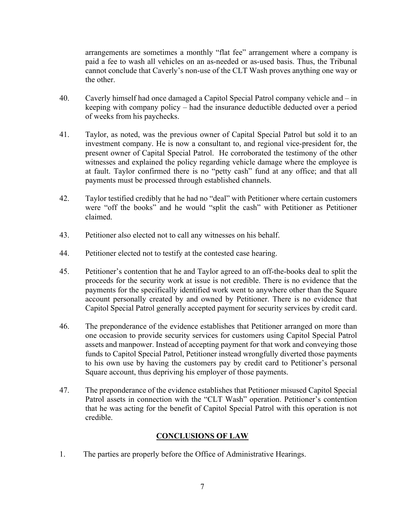arrangements are sometimes a monthly "flat fee" arrangement where a company is paid a fee to wash all vehicles on an as-needed or as-used basis. Thus, the Tribunal cannot conclude that Caverly's non-use of the CLT Wash proves anything one way or the other.

- 40. Caverly himself had once damaged a Capitol Special Patrol company vehicle and in keeping with company policy – had the insurance deductible deducted over a period of weeks from his paychecks.
- 41. Taylor, as noted, was the previous owner of Capital Special Patrol but sold it to an investment company. He is now a consultant to, and regional vice-president for, the present owner of Capital Special Patrol. He corroborated the testimony of the other witnesses and explained the policy regarding vehicle damage where the employee is at fault. Taylor confirmed there is no "petty cash" fund at any office; and that all payments must be processed through established channels.
- 42. Taylor testified credibly that he had no "deal" with Petitioner where certain customers were "off the books" and he would "split the cash" with Petitioner as Petitioner claimed.
- 43. Petitioner also elected not to call any witnesses on his behalf.
- 44. Petitioner elected not to testify at the contested case hearing.
- 45. Petitioner's contention that he and Taylor agreed to an off-the-books deal to split the proceeds for the security work at issue is not credible. There is no evidence that the payments for the specifically identified work went to anywhere other than the Square account personally created by and owned by Petitioner. There is no evidence that Capitol Special Patrol generally accepted payment for security services by credit card.
- 46. The preponderance of the evidence establishes that Petitioner arranged on more than one occasion to provide security services for customers using Capitol Special Patrol assets and manpower. Instead of accepting payment for that work and conveying those funds to Capitol Special Patrol, Petitioner instead wrongfully diverted those payments to his own use by having the customers pay by credit card to Petitioner's personal Square account, thus depriving his employer of those payments.
- 47. The preponderance of the evidence establishes that Petitioner misused Capitol Special Patrol assets in connection with the "CLT Wash" operation. Petitioner's contention that he was acting for the benefit of Capitol Special Patrol with this operation is not credible.

## **CONCLUSIONS OF LAW**

1. The parties are properly before the Office of Administrative Hearings.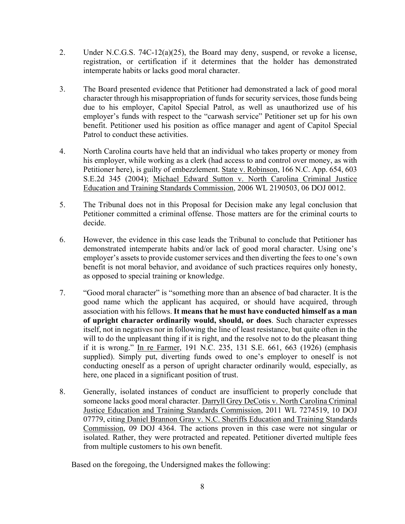- 2. Under N.C.G.S. 74C-12(a)(25), the Board may deny, suspend, or revoke a license, registration, or certification if it determines that the holder has demonstrated intemperate habits or lacks good moral character.
- 3. The Board presented evidence that Petitioner had demonstrated a lack of good moral character through his misappropriation of funds for security services, those funds being due to his employer, Capitol Special Patrol, as well as unauthorized use of his employer's funds with respect to the "carwash service" Petitioner set up for his own benefit. Petitioner used his position as office manager and agent of Capitol Special Patrol to conduct these activities.
- 4. North Carolina courts have held that an individual who takes property or money from his employer, while working as a clerk (had access to and control over money, as with Petitioner here), is guilty of embezzlement. State v. Robinson, 166 N.C. App. 654, 603 S.E.2d 345 (2004); Michael Edward Sutton v. North Carolina Criminal Justice Education and Training Standards Commission, 2006 WL 2190503, 06 DOJ 0012.
- 5. The Tribunal does not in this Proposal for Decision make any legal conclusion that Petitioner committed a criminal offense. Those matters are for the criminal courts to decide.
- 6. However, the evidence in this case leads the Tribunal to conclude that Petitioner has demonstrated intemperate habits and/or lack of good moral character. Using one's employer's assets to provide customer services and then diverting the fees to one's own benefit is not moral behavior, and avoidance of such practices requires only honesty, as opposed to special training or knowledge.
- 7. "Good moral character" is "something more than an absence of bad character. It is the good name which the applicant has acquired, or should have acquired, through association with his fellows. **It means that he must have conducted himself as a man of upright character ordinarily would, should, or does**. Such character expresses itself, not in negatives nor in following the line of least resistance, but quite often in the will to do the unpleasant thing if it is right, and the resolve not to do the pleasant thing if it is wrong." In re Farmer, 191 N.C. 235, 131 S.E. 661, 663 (1926) (emphasis supplied). Simply put, diverting funds owed to one's employer to oneself is not conducting oneself as a person of upright character ordinarily would, especially, as here, one placed in a significant position of trust.
- 8. Generally, isolated instances of conduct are insufficient to properly conclude that someone lacks good moral character. Darryll Grey DeCotis v. North Carolina Criminal Justice Education and Training Standards Commission, 2011 WL 7274519, 10 DOJ 07779, citing Daniel Brannon Gray v. N.C. Sheriffs Education and Training Standards Commission, 09 DOJ 4364. The actions proven in this case were not singular or isolated. Rather, they were protracted and repeated. Petitioner diverted multiple fees from multiple customers to his own benefit.

Based on the foregoing, the Undersigned makes the following: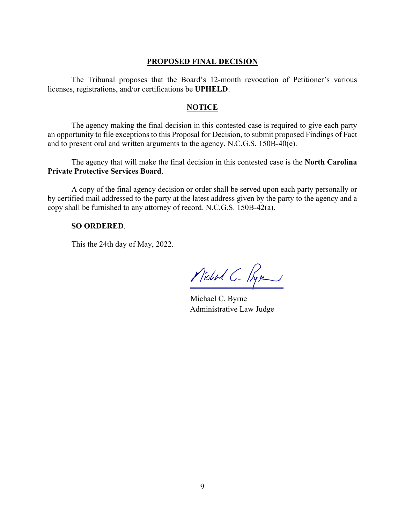#### **PROPOSED FINAL DECISION**

The Tribunal proposes that the Board's 12-month revocation of Petitioner's various licenses, registrations, and/or certifications be **UPHELD**.

#### **NOTICE**

The agency making the final decision in this contested case is required to give each party an opportunity to file exceptions to this Proposal for Decision, to submit proposed Findings of Fact and to present oral and written arguments to the agency. N.C.G.S. 150B-40(e).

The agency that will make the final decision in this contested case is the **North Carolina Private Protective Services Board**.

A copy of the final agency decision or order shall be served upon each party personally or by certified mail addressed to the party at the latest address given by the party to the agency and a copy shall be furnished to any attorney of record. N.C.G.S. 150B-42(a).

#### **SO ORDERED**.

This the 24th day of May, 2022.

Michael C. Ryn

Michael C. Byrne Administrative Law Judge